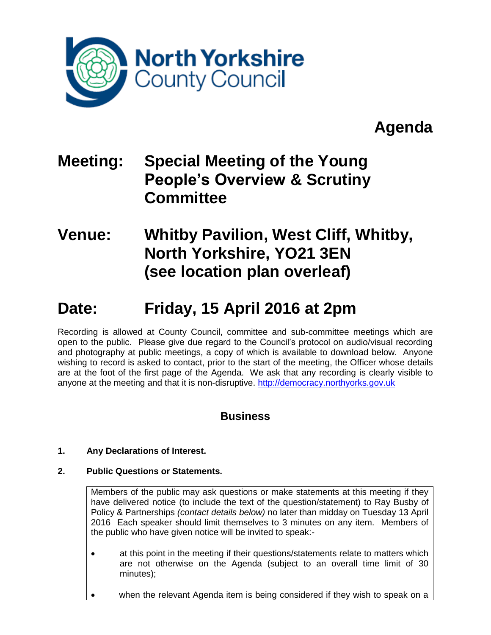

# **Agenda**

### **Meeting: Special Meeting of the Young People's Overview & Scrutiny Committee**

### **Venue: Whitby Pavilion, West Cliff, Whitby, North Yorkshire, YO21 3EN (see location plan overleaf)**

## **Date: Friday, 15 April 2016 at 2pm**

Recording is allowed at County Council, committee and sub-committee meetings which are open to the public. Please give due regard to the Council's protocol on audio/visual recording and photography at public meetings, a copy of which is available to download below. Anyone wishing to record is asked to contact, prior to the start of the meeting, the Officer whose details are at the foot of the first page of the Agenda. We ask that any recording is clearly visible to anyone at the meeting and that it is non-disruptive. [http://democracy.northyorks.gov.uk](http://democracy.northyorks.gov.uk/)

### **Business**

#### **1. Any Declarations of Interest.**

#### **2. Public Questions or Statements.**

Members of the public may ask questions or make statements at this meeting if they have delivered notice (to include the text of the question/statement) to Ray Busby of Policy & Partnerships *(contact details below)* no later than midday on Tuesday 13 April 2016 Each speaker should limit themselves to 3 minutes on any item. Members of the public who have given notice will be invited to speak:-

- at this point in the meeting if their questions/statements relate to matters which are not otherwise on the Agenda (subject to an overall time limit of 30 minutes);
- when the relevant Agenda item is being considered if they wish to speak on a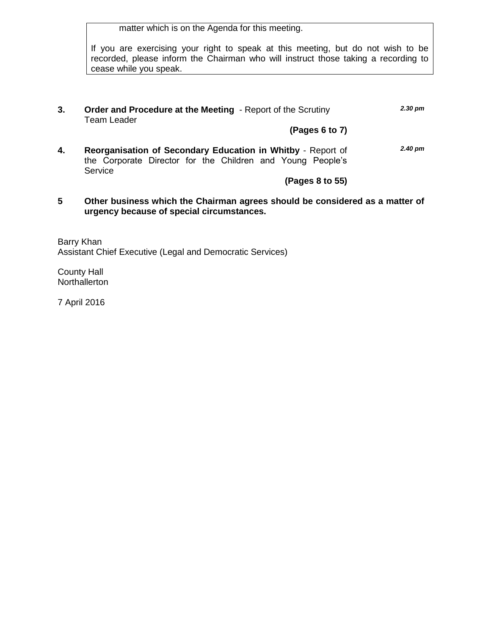matter which is on the Agenda for this meeting.

If you are exercising your right to speak at this meeting, but do not wish to be recorded, please inform the Chairman who will instruct those taking a recording to cease while you speak.

**3. Order and Procedure at the Meeting** - Report of the Scrutiny Team Leader *2.30 pm*

**(Pages 6 to 7)**

**4. Reorganisation of Secondary Education in Whitby** - Report of the Corporate Director for the Children and Young People's **Service** *2.40 pm*

**(Pages 8 to 55)**

**5 Other business which the Chairman agrees should be considered as a matter of urgency because of special circumstances.**

Barry Khan Assistant Chief Executive (Legal and Democratic Services)

County Hall **Northallerton** 

7 April 2016